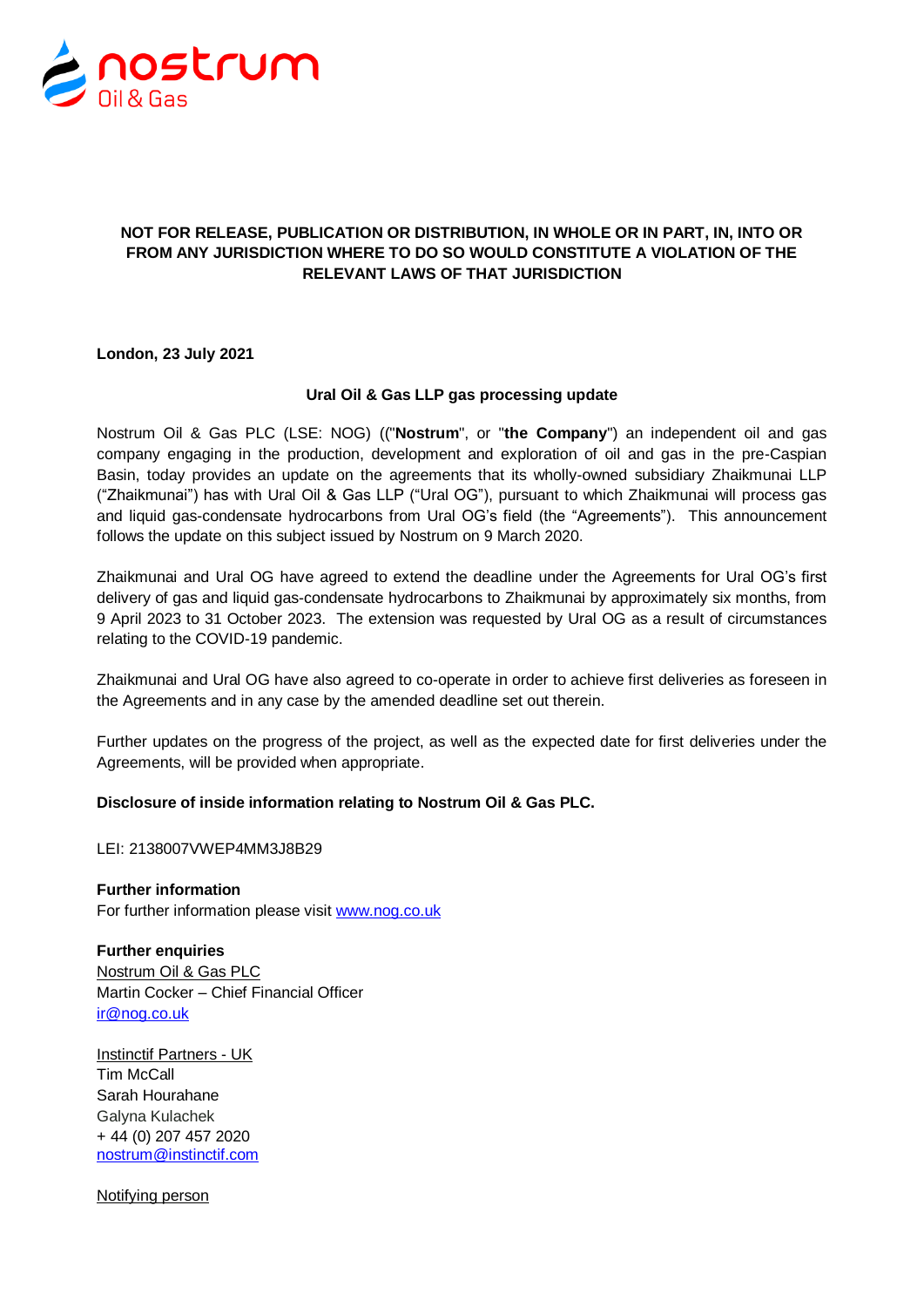

## **NOT FOR RELEASE, PUBLICATION OR DISTRIBUTION, IN WHOLE OR IN PART, IN, INTO OR FROM ANY JURISDICTION WHERE TO DO SO WOULD CONSTITUTE A VIOLATION OF THE RELEVANT LAWS OF THAT JURISDICTION**

**London, 23 July 2021**

#### **Ural Oil & Gas LLP gas processing update**

Nostrum Oil & Gas PLC (LSE: NOG) (("**Nostrum**", or "**the Company**") an independent oil and gas company engaging in the production, development and exploration of oil and gas in the pre-Caspian Basin, today provides an update on the agreements that its wholly-owned subsidiary Zhaikmunai LLP ("Zhaikmunai") has with Ural Oil & Gas LLP ("Ural OG"), pursuant to which Zhaikmunai will process gas and liquid gas-condensate hydrocarbons from Ural OG's field (the "Agreements"). This announcement follows the update on this subject issued by Nostrum on 9 March 2020.

Zhaikmunai and Ural OG have agreed to extend the deadline under the Agreements for Ural OG's first delivery of gas and liquid gas-condensate hydrocarbons to Zhaikmunai by approximately six months, from 9 April 2023 to 31 October 2023. The extension was requested by Ural OG as a result of circumstances relating to the COVID-19 pandemic.

Zhaikmunai and Ural OG have also agreed to co-operate in order to achieve first deliveries as foreseen in the Agreements and in any case by the amended deadline set out therein.

Further updates on the progress of the project, as well as the expected date for first deliveries under the Agreements, will be provided when appropriate.

### **Disclosure of inside information relating to Nostrum Oil & Gas PLC.**

LEI: 2138007VWEP4MM3J8B29

**Further information** For further information please visit [www.nog.co.uk](http://www.nog.co.uk/)

**Further enquiries** Nostrum Oil & Gas PLC Martin Cocker – Chief Financial Officer [ir@nog.co.uk](mailto:ir@nog.co.uk)

Instinctif Partners - UK Tim McCall Sarah Hourahane Galyna Kulachek + 44 (0) 207 457 2020 [nostrum@instinctif.com](mailto:nostrum@instinctif.com)

Notifying person